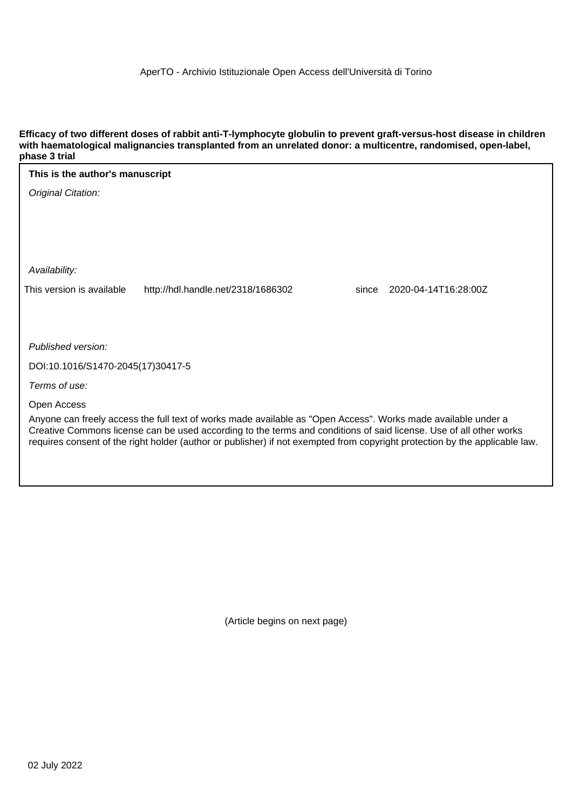**Efficacy of two different doses of rabbit anti-T-lymphocyte globulin to prevent graft-versus-host disease in children with haematological malignancies transplanted from an unrelated donor: a multicentre, randomised, open-label, phase 3 trial**

| phase o that                                                                                                                                                                                                                                      |                               |
|---------------------------------------------------------------------------------------------------------------------------------------------------------------------------------------------------------------------------------------------------|-------------------------------|
| This is the author's manuscript                                                                                                                                                                                                                   |                               |
| Original Citation:                                                                                                                                                                                                                                |                               |
|                                                                                                                                                                                                                                                   |                               |
|                                                                                                                                                                                                                                                   |                               |
|                                                                                                                                                                                                                                                   |                               |
| Availability:                                                                                                                                                                                                                                     |                               |
| This version is available<br>http://hdl.handle.net/2318/1686302                                                                                                                                                                                   | 2020-04-14T16:28:00Z<br>since |
|                                                                                                                                                                                                                                                   |                               |
|                                                                                                                                                                                                                                                   |                               |
| Published version:                                                                                                                                                                                                                                |                               |
| DOI:10.1016/S1470-2045(17)30417-5                                                                                                                                                                                                                 |                               |
| Terms of use:                                                                                                                                                                                                                                     |                               |
| Open Access                                                                                                                                                                                                                                       |                               |
| Anyone can freely access the full text of works made available as "Open Access". Works made available under a                                                                                                                                     |                               |
| Creative Commons license can be used according to the terms and conditions of said license. Use of all other works<br>requires consent of the right holder (author or publisher) if not exempted from copyright protection by the applicable law. |                               |

(Article begins on next page)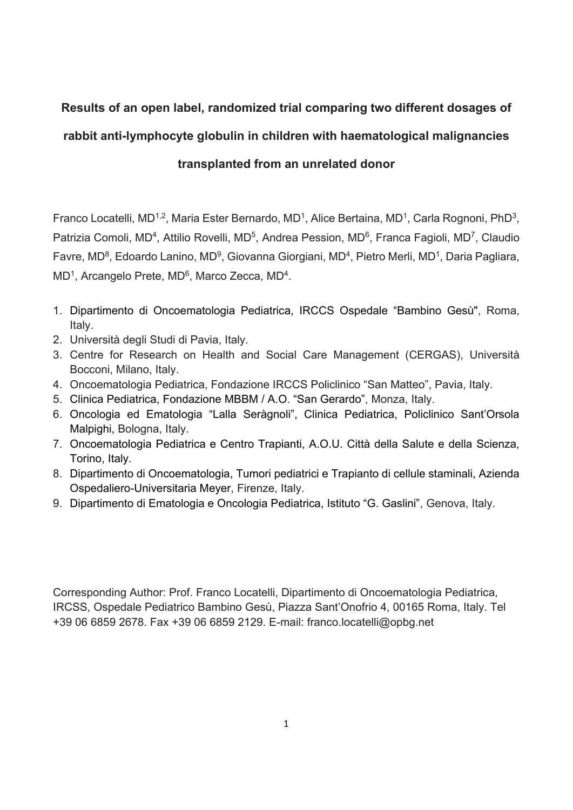# **Results of an open label, randomized trial comparing two different dosages of**

# **rabbit anti-lymphocyte globulin in children with haematological malignancies**

**transplanted from an unrelated donor** 

Franco Locatelli, MD<sup>1,2</sup>, Maria Ester Bernardo, MD<sup>1</sup>, Alice Bertaina, MD<sup>1</sup>, Carla Rognoni, PhD<sup>3</sup>, Patrizia Comoli, MD<sup>4</sup>, Attilio Rovelli, MD<sup>5</sup>, Andrea Pession, MD<sup>6</sup>, Franca Fagioli, MD<sup>7</sup>, Claudio Favre, MD<sup>8</sup>, Edoardo Lanino, MD<sup>9</sup>, Giovanna Giorgiani, MD<sup>4</sup>, Pietro Merli, MD<sup>1</sup>, Daria Pagliara, MD<sup>1</sup>, Arcangelo Prete, MD<sup>6</sup>, Marco Zecca, MD<sup>4</sup>.

- 1. Dipartimento di Oncoematologia Pediatrica, IRCCS Ospedale "Bambino Gesù", Roma, Italy.
- 2. Università degli Studi di Pavia, Italy.
- 3. Centre for Research on Health and Social Care Management (CERGAS), Università Bocconi, Milano, Italy.
- 4. Oncoematologia Pediatrica, Fondazione IRCCS Policlinico "San Matteo", Pavia, Italy.
- 5. Clinica Pediatrica, Fondazione MBBM / A.O. "San Gerardo", Monza, Italy.
- 6. Oncologia ed Ematologia "Lalla Seràgnoli", Clinica Pediatrica, Policlinico Sant'Orsola Malpighi, Bologna, Italy.
- 7. Oncoematologia Pediatrica e Centro Trapianti, A.O.U. Città della Salute e della Scienza, Torino, Italy.
- 8. Dipartimento di Oncoematologia, Tumori pediatrici e Trapianto di cellule staminali, Azienda Ospedaliero-Universitaria Meyer, Firenze, Italy.
- 9. Dipartimento di Ematologia e Oncologia Pediatrica, Istituto "G. Gaslini", Genova, Italy.

Corresponding Author: Prof. Franco Locatelli, Dipartimento di Oncoematologia Pediatrica, IRCSS, Ospedale Pediatrico Bambino Gesù, Piazza Sant'Onofrio 4, 00165 Roma, Italy. Tel +39 06 6859 2678. Fax +39 06 6859 2129. E-mail: franco.locatelli@opbg.net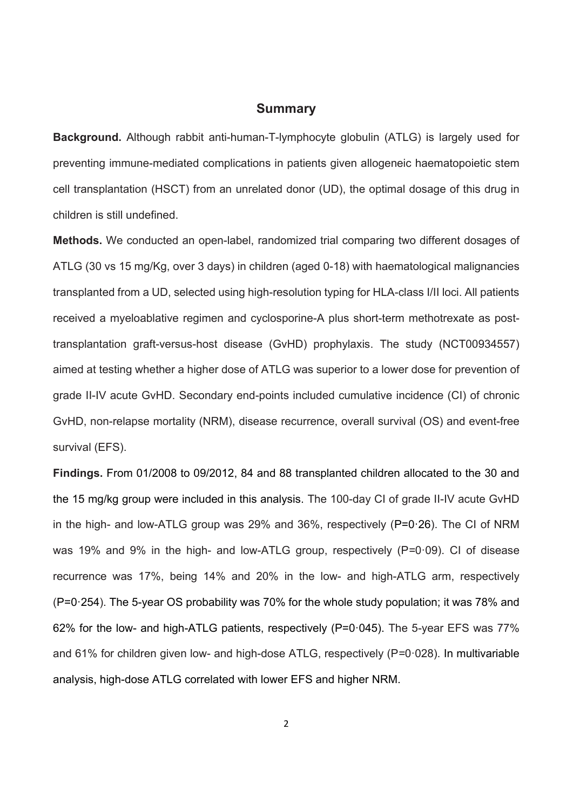### **Summary**

**Background.** Although rabbit anti-human-T-lymphocyte globulin (ATLG) is largely used for preventing immune-mediated complications in patients given allogeneic haematopoietic stem cell transplantation (HSCT) from an unrelated donor (UD), the optimal dosage of this drug in children is still undefined.

**Methods.** We conducted an open-label, randomized trial comparing two different dosages of ATLG (30 vs 15 mg/Kg, over 3 days) in children (aged 0-18) with haematological malignancies transplanted from a UD, selected using high-resolution typing for HLA-class I/II loci. All patients received a myeloablative regimen and cyclosporine-A plus short-term methotrexate as posttransplantation graft-versus-host disease (GvHD) prophylaxis. The study (NCT00934557) aimed at testing whether a higher dose of ATLG was superior to a lower dose for prevention of grade II-IV acute GvHD. Secondary end-points included cumulative incidence (CI) of chronic GvHD, non-relapse mortality (NRM), disease recurrence, overall survival (OS) and event-free survival (EFS).

**Findings.** From 01/2008 to 09/2012, 84 and 88 transplanted children allocated to the 30 and the 15 mg/kg group were included in this analysis. The 100-day CI of grade II-IV acute GvHD in the high- and low-ATLG group was 29% and 36%, respectively  $(P=0.26)$ . The CI of NRM was 19% and 9% in the high- and low-ATLG group, respectively (P=0 $\cdot$ 09). CI of disease recurrence was 17%, being 14% and 20% in the low- and high-ATLG arm, respectively (P=0ꞏ254). The 5-year OS probability was 70% for the whole study population; it was 78% and 62% for the low- and high-ATLG patients, respectively (P=0 $\cdot$ 045). The 5-year EFS was 77% and 61% for children given low- and high-dose ATLG, respectively (P=0 $\cdot$ 028). In multivariable analysis, high-dose ATLG correlated with lower EFS and higher NRM.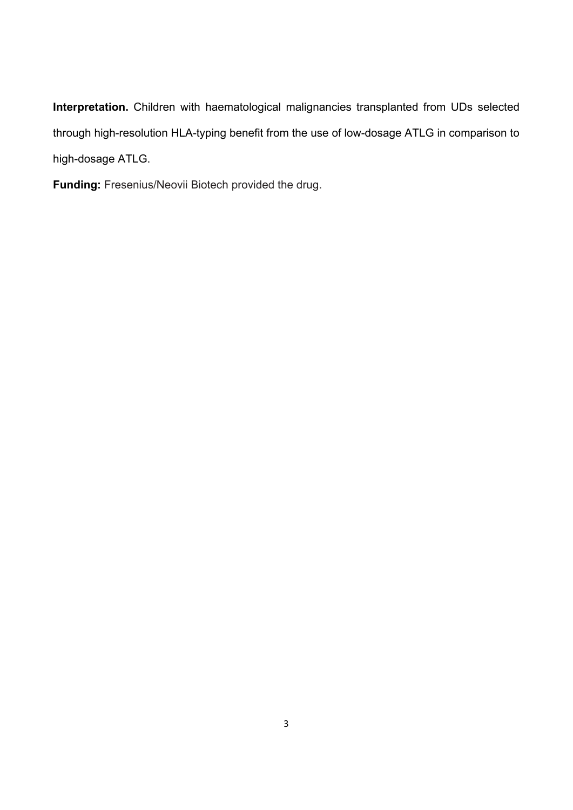**Interpretation.** Children with haematological malignancies transplanted from UDs selected through high-resolution HLA-typing benefit from the use of low-dosage ATLG in comparison to high-dosage ATLG.

**Funding:** Fresenius/Neovii Biotech provided the drug.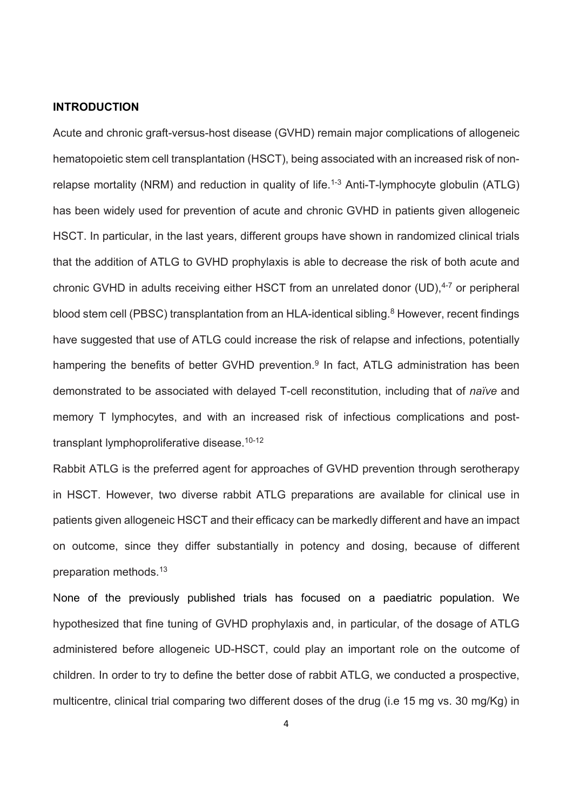### **INTRODUCTION**

Acute and chronic graft-versus-host disease (GVHD) remain major complications of allogeneic hematopoietic stem cell transplantation (HSCT), being associated with an increased risk of nonrelapse mortality (NRM) and reduction in quality of life.<sup>1-3</sup> Anti-T-lymphocyte globulin (ATLG) has been widely used for prevention of acute and chronic GVHD in patients given allogeneic HSCT. In particular, in the last years, different groups have shown in randomized clinical trials that the addition of ATLG to GVHD prophylaxis is able to decrease the risk of both acute and chronic GVHD in adults receiving either HSCT from an unrelated donor  $(UD)$ ,  $4-7$  or peripheral blood stem cell (PBSC) transplantation from an HLA-identical sibling.<sup>8</sup> However, recent findings have suggested that use of ATLG could increase the risk of relapse and infections, potentially hampering the benefits of better GVHD prevention.<sup>9</sup> In fact, ATLG administration has been demonstrated to be associated with delayed T-cell reconstitution, including that of *naïve* and memory T lymphocytes, and with an increased risk of infectious complications and posttransplant lymphoproliferative disease.<sup>10-12</sup>

Rabbit ATLG is the preferred agent for approaches of GVHD prevention through serotherapy in HSCT. However, two diverse rabbit ATLG preparations are available for clinical use in patients given allogeneic HSCT and their efficacy can be markedly different and have an impact on outcome, since they differ substantially in potency and dosing, because of different preparation methods.13

None of the previously published trials has focused on a paediatric population. We hypothesized that fine tuning of GVHD prophylaxis and, in particular, of the dosage of ATLG administered before allogeneic UD-HSCT, could play an important role on the outcome of children. In order to try to define the better dose of rabbit ATLG, we conducted a prospective, multicentre, clinical trial comparing two different doses of the drug (i.e 15 mg vs. 30 mg/Kg) in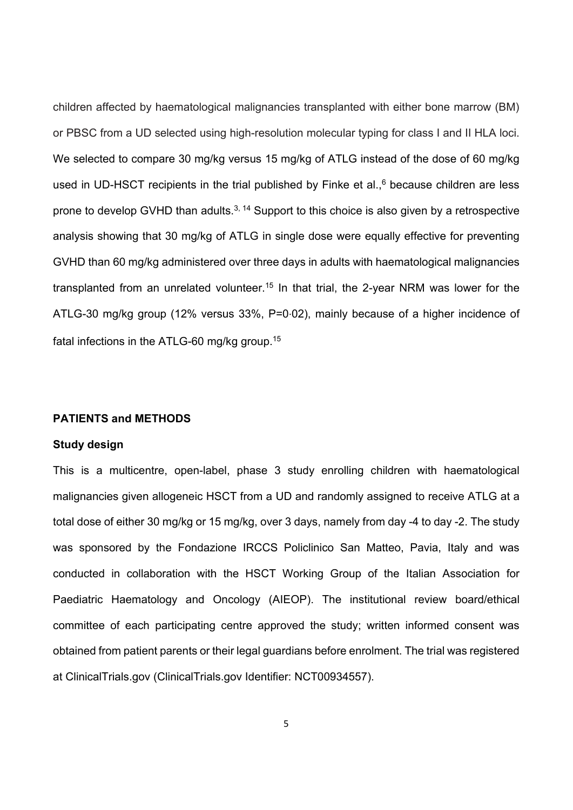children affected by haematological malignancies transplanted with either bone marrow (BM) or PBSC from a UD selected using high-resolution molecular typing for class I and II HLA loci. We selected to compare 30 mg/kg versus 15 mg/kg of ATLG instead of the dose of 60 mg/kg used in UD-HSCT recipients in the trial published by Finke et al., $6$  because children are less prone to develop GVHD than adults.<sup>3, 14</sup> Support to this choice is also given by a retrospective analysis showing that 30 mg/kg of ATLG in single dose were equally effective for preventing GVHD than 60 mg/kg administered over three days in adults with haematological malignancies transplanted from an unrelated volunteer.<sup>15</sup> In that trial, the 2-year NRM was lower for the ATLG-30 mg/kg group (12% versus 33%, P=0∙02), mainly because of a higher incidence of fatal infections in the ATLG-60 mg/kg group.15

### **PATIENTS and METHODS**

### **Study design**

This is a multicentre, open-label, phase 3 study enrolling children with haematological malignancies given allogeneic HSCT from a UD and randomly assigned to receive ATLG at a total dose of either 30 mg/kg or 15 mg/kg, over 3 days, namely from day -4 to day -2. The study was sponsored by the Fondazione IRCCS Policlinico San Matteo, Pavia, Italy and was conducted in collaboration with the HSCT Working Group of the Italian Association for Paediatric Haematology and Oncology (AIEOP). The institutional review board/ethical committee of each participating centre approved the study; written informed consent was obtained from patient parents or their legal guardians before enrolment. The trial was registered at ClinicalTrials.gov (ClinicalTrials.gov Identifier: NCT00934557).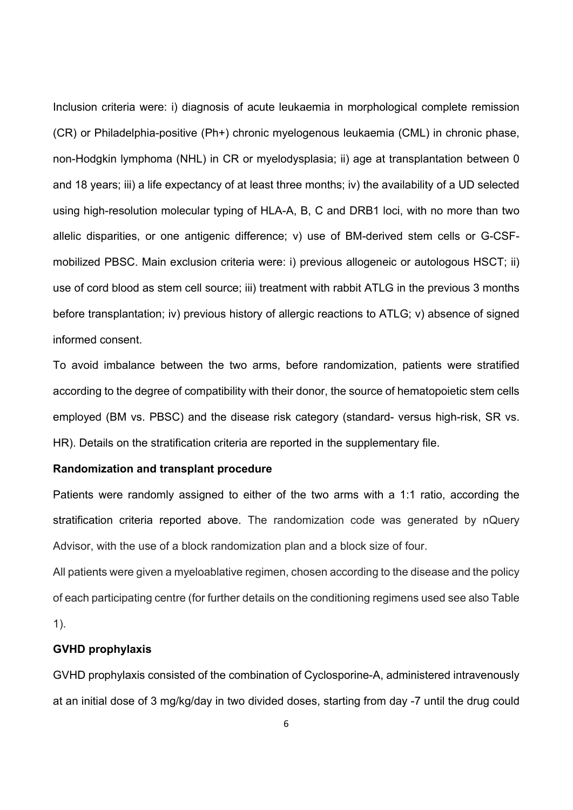Inclusion criteria were: i) diagnosis of acute leukaemia in morphological complete remission (CR) or Philadelphia-positive (Ph+) chronic myelogenous leukaemia (CML) in chronic phase, non-Hodgkin lymphoma (NHL) in CR or myelodysplasia; ii) age at transplantation between 0 and 18 years; iii) a life expectancy of at least three months; iv) the availability of a UD selected using high-resolution molecular typing of HLA-A, B, C and DRB1 loci, with no more than two allelic disparities, or one antigenic difference; v) use of BM-derived stem cells or G-CSFmobilized PBSC. Main exclusion criteria were: i) previous allogeneic or autologous HSCT; ii) use of cord blood as stem cell source; iii) treatment with rabbit ATLG in the previous 3 months before transplantation; iv) previous history of allergic reactions to ATLG; v) absence of signed informed consent.

To avoid imbalance between the two arms, before randomization, patients were stratified according to the degree of compatibility with their donor, the source of hematopoietic stem cells employed (BM vs. PBSC) and the disease risk category (standard- versus high-risk, SR vs. HR). Details on the stratification criteria are reported in the supplementary file.

### **Randomization and transplant procedure**

Patients were randomly assigned to either of the two arms with a 1:1 ratio, according the stratification criteria reported above. The randomization code was generated by nQuery Advisor, with the use of a block randomization plan and a block size of four.

All patients were given a myeloablative regimen, chosen according to the disease and the policy of each participating centre (for further details on the conditioning regimens used see also Table

1).

### **GVHD prophylaxis**

GVHD prophylaxis consisted of the combination of Cyclosporine-A, administered intravenously at an initial dose of 3 mg/kg/day in two divided doses, starting from day -7 until the drug could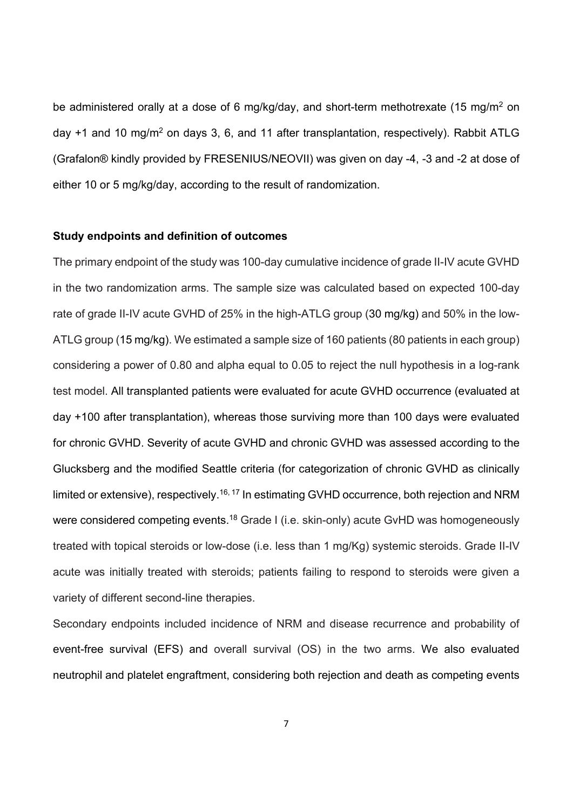be administered orally at a dose of 6 mg/kg/day, and short-term methotrexate (15 mg/m<sup>2</sup> on day +1 and 10 mg/m<sup>2</sup> on days 3, 6, and 11 after transplantation, respectively). Rabbit ATLG (Grafalon® kindly provided by FRESENIUS/NEOVII) was given on day -4, -3 and -2 at dose of either 10 or 5 mg/kg/day, according to the result of randomization.

## **Study endpoints and definition of outcomes**

The primary endpoint of the study was 100-day cumulative incidence of grade II-IV acute GVHD in the two randomization arms. The sample size was calculated based on expected 100-day rate of grade II-IV acute GVHD of 25% in the high-ATLG group (30 mg/kg) and 50% in the low-ATLG group (15 mg/kg). We estimated a sample size of 160 patients (80 patients in each group) considering a power of 0.80 and alpha equal to 0.05 to reject the null hypothesis in a log-rank test model. All transplanted patients were evaluated for acute GVHD occurrence (evaluated at day +100 after transplantation), whereas those surviving more than 100 days were evaluated for chronic GVHD. Severity of acute GVHD and chronic GVHD was assessed according to the Glucksberg and the modified Seattle criteria (for categorization of chronic GVHD as clinically limited or extensive), respectively.<sup>16, 17</sup> In estimating GVHD occurrence, both rejection and NRM were considered competing events.<sup>18</sup> Grade I (i.e. skin-only) acute GvHD was homogeneously treated with topical steroids or low-dose (i.e. less than 1 mg/Kg) systemic steroids. Grade II-IV acute was initially treated with steroids; patients failing to respond to steroids were given a variety of different second-line therapies.

Secondary endpoints included incidence of NRM and disease recurrence and probability of event-free survival (EFS) and overall survival (OS) in the two arms. We also evaluated neutrophil and platelet engraftment, considering both rejection and death as competing events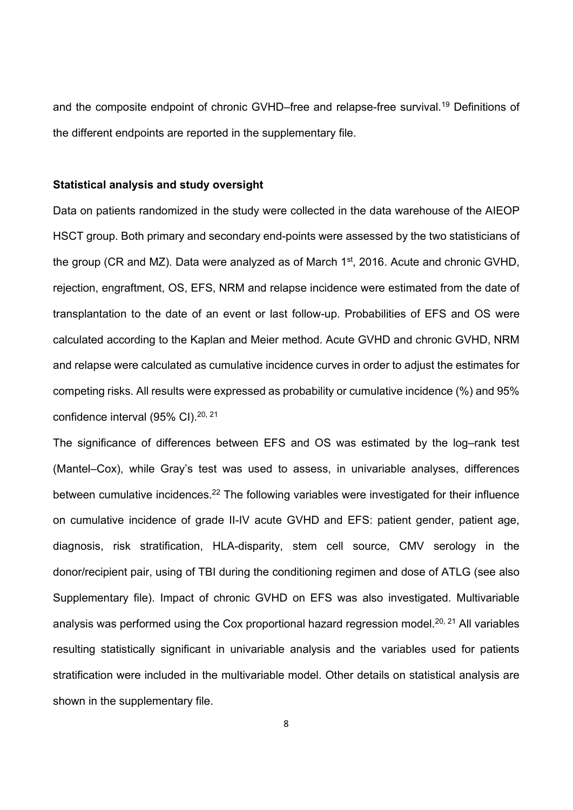and the composite endpoint of chronic GVHD–free and relapse-free survival.<sup>19</sup> Definitions of the different endpoints are reported in the supplementary file.

### **Statistical analysis and study oversight**

Data on patients randomized in the study were collected in the data warehouse of the AIEOP HSCT group. Both primary and secondary end-points were assessed by the two statisticians of the group (CR and MZ). Data were analyzed as of March 1<sup>st</sup>, 2016. Acute and chronic GVHD, rejection, engraftment, OS, EFS, NRM and relapse incidence were estimated from the date of transplantation to the date of an event or last follow-up. Probabilities of EFS and OS were calculated according to the Kaplan and Meier method. Acute GVHD and chronic GVHD, NRM and relapse were calculated as cumulative incidence curves in order to adjust the estimates for competing risks. All results were expressed as probability or cumulative incidence (%) and 95% confidence interval (95% CI).<sup>20, 21</sup>

The significance of differences between EFS and OS was estimated by the log–rank test (Mantel–Cox), while Gray's test was used to assess, in univariable analyses, differences between cumulative incidences.<sup>22</sup> The following variables were investigated for their influence on cumulative incidence of grade II-IV acute GVHD and EFS: patient gender, patient age, diagnosis, risk stratification, HLA-disparity, stem cell source, CMV serology in the donor/recipient pair, using of TBI during the conditioning regimen and dose of ATLG (see also Supplementary file). Impact of chronic GVHD on EFS was also investigated. Multivariable analysis was performed using the Cox proportional hazard regression model.<sup>20, 21</sup> All variables resulting statistically significant in univariable analysis and the variables used for patients stratification were included in the multivariable model. Other details on statistical analysis are shown in the supplementary file.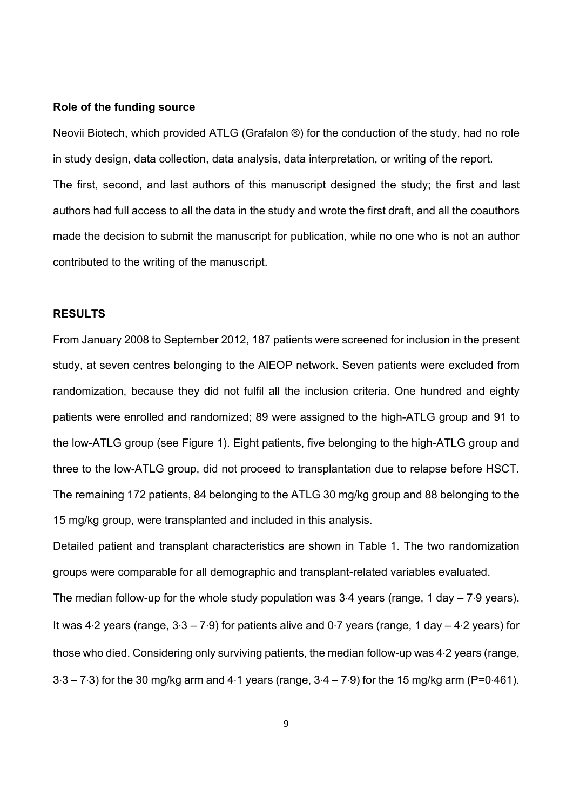#### **Role of the funding source**

Neovii Biotech, which provided ATLG (Grafalon ®) for the conduction of the study, had no role in study design, data collection, data analysis, data interpretation, or writing of the report. The first, second, and last authors of this manuscript designed the study; the first and last authors had full access to all the data in the study and wrote the first draft, and all the coauthors made the decision to submit the manuscript for publication, while no one who is not an author contributed to the writing of the manuscript.

### **RESULTS**

From January 2008 to September 2012, 187 patients were screened for inclusion in the present study, at seven centres belonging to the AIEOP network. Seven patients were excluded from randomization, because they did not fulfil all the inclusion criteria. One hundred and eighty patients were enrolled and randomized; 89 were assigned to the high-ATLG group and 91 to the low-ATLG group (see Figure 1). Eight patients, five belonging to the high-ATLG group and three to the low-ATLG group, did not proceed to transplantation due to relapse before HSCT. The remaining 172 patients, 84 belonging to the ATLG 30 mg/kg group and 88 belonging to the 15 mg/kg group, were transplanted and included in this analysis.

Detailed patient and transplant characteristics are shown in Table 1. The two randomization groups were comparable for all demographic and transplant-related variables evaluated. The median follow-up for the whole study population was 3∙4 years (range, 1 day – 7∙9 years). It was 4∙2 years (range, 3∙3 – 7∙9) for patients alive and 0∙7 years (range, 1 day – 4∙2 years) for those who died. Considering only surviving patients, the median follow-up was 4∙2 years (range, 3∙3 – 7∙3) for the 30 mg/kg arm and 4∙1 years (range, 3∙4 – 7∙9) for the 15 mg/kg arm (P=0∙461).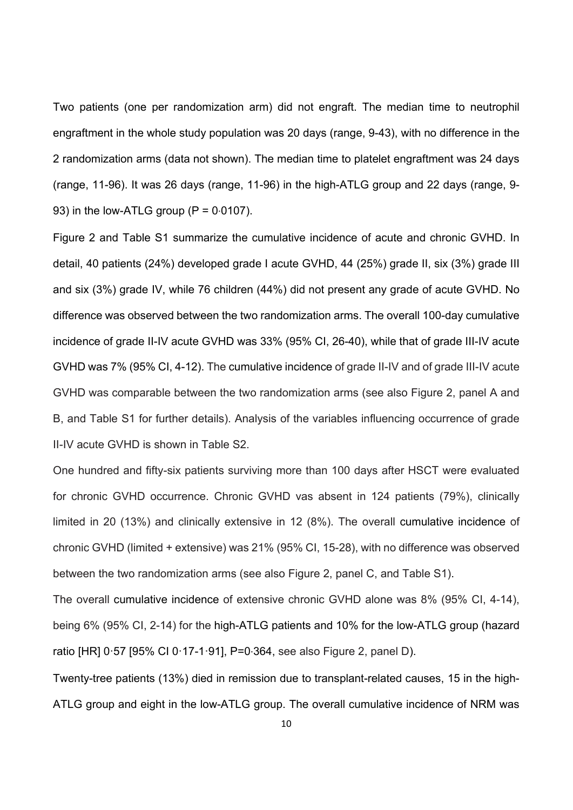Two patients (one per randomization arm) did not engraft. The median time to neutrophil engraftment in the whole study population was 20 days (range, 9-43), with no difference in the 2 randomization arms (data not shown). The median time to platelet engraftment was 24 days (range, 11-96). It was 26 days (range, 11-96) in the high-ATLG group and 22 days (range, 9- 93) in the low-ATLG group ( $P = 0.0107$ ).

Figure 2 and Table S1 summarize the cumulative incidence of acute and chronic GVHD. In detail, 40 patients (24%) developed grade I acute GVHD, 44 (25%) grade II, six (3%) grade III and six (3%) grade IV, while 76 children (44%) did not present any grade of acute GVHD. No difference was observed between the two randomization arms. The overall 100-day cumulative incidence of grade II-IV acute GVHD was 33% (95% CI, 26-40), while that of grade III-IV acute GVHD was 7% (95% CI, 4-12). The cumulative incidence of grade II-IV and of grade III-IV acute GVHD was comparable between the two randomization arms (see also Figure 2, panel A and B, and Table S1 for further details). Analysis of the variables influencing occurrence of grade II-IV acute GVHD is shown in Table S2.

One hundred and fifty-six patients surviving more than 100 days after HSCT were evaluated for chronic GVHD occurrence. Chronic GVHD vas absent in 124 patients (79%), clinically limited in 20 (13%) and clinically extensive in 12 (8%). The overall cumulative incidence of chronic GVHD (limited + extensive) was 21% (95% CI, 15-28), with no difference was observed between the two randomization arms (see also Figure 2, panel C, and Table S1).

The overall cumulative incidence of extensive chronic GVHD alone was 8% (95% CI, 4-14), being 6% (95% CI, 2-14) for the high-ATLG patients and 10% for the low-ATLG group (hazard ratio [HR] 0⋅57 [95% CI 0⋅17-1⋅91], P=0⋅364, see also Figure 2, panel D).

Twenty-tree patients (13%) died in remission due to transplant-related causes, 15 in the high-ATLG group and eight in the low-ATLG group. The overall cumulative incidence of NRM was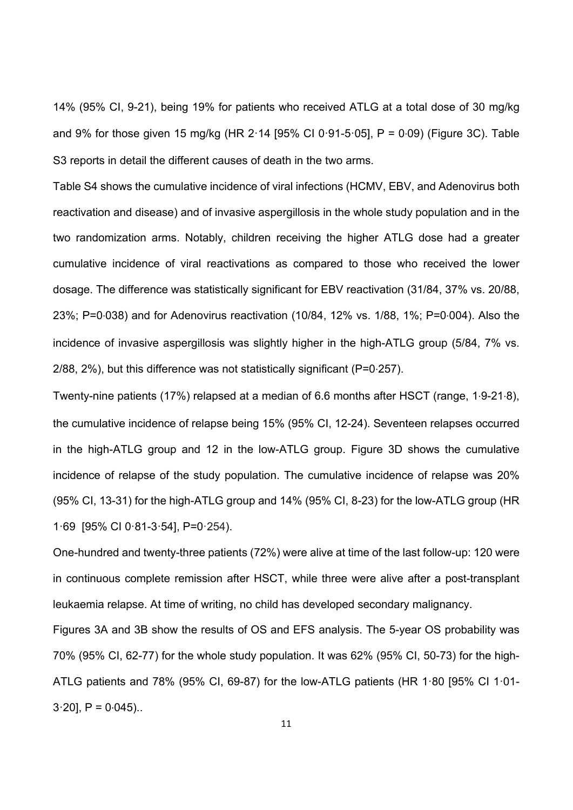14% (95% CI, 9-21), being 19% for patients who received ATLG at a total dose of 30 mg/kg and 9% for those given 15 mg/kg (HR 2⋅14 [95% CI 0⋅91-5⋅05], P = 0⋅09) (Figure 3C). Table S3 reports in detail the different causes of death in the two arms.

Table S4 shows the cumulative incidence of viral infections (HCMV, EBV, and Adenovirus both reactivation and disease) and of invasive aspergillosis in the whole study population and in the two randomization arms. Notably, children receiving the higher ATLG dose had a greater cumulative incidence of viral reactivations as compared to those who received the lower dosage. The difference was statistically significant for EBV reactivation (31/84, 37% vs. 20/88, 23%; P=0∙038) and for Adenovirus reactivation (10/84, 12% vs. 1/88, 1%; P=0∙004). Also the incidence of invasive aspergillosis was slightly higher in the high-ATLG group (5/84, 7% vs. 2/88, 2%), but this difference was not statistically significant (P=0∙257).

Twenty-nine patients (17%) relapsed at a median of 6.6 months after HSCT (range, 1∙9-21∙8), the cumulative incidence of relapse being 15% (95% CI, 12-24). Seventeen relapses occurred in the high-ATLG group and 12 in the low-ATLG group. Figure 3D shows the cumulative incidence of relapse of the study population. The cumulative incidence of relapse was 20% (95% CI, 13-31) for the high-ATLG group and 14% (95% CI, 8-23) for the low-ATLG group (HR 1ꞏ69 [95% CI 0ꞏ81-3ꞏ54], P=0ꞏ254).

One-hundred and twenty-three patients (72%) were alive at time of the last follow-up: 120 were in continuous complete remission after HSCT, while three were alive after a post-transplant leukaemia relapse. At time of writing, no child has developed secondary malignancy.

Figures 3A and 3B show the results of OS and EFS analysis. The 5-year OS probability was 70% (95% CI, 62-77) for the whole study population. It was 62% (95% CI, 50-73) for the high-ATLG patients and 78% (95% CI, 69-87) for the low-ATLG patients (HR 1ꞏ80 [95% CI 1ꞏ01-  $3.20$ ], P = 0 $0.045$ )...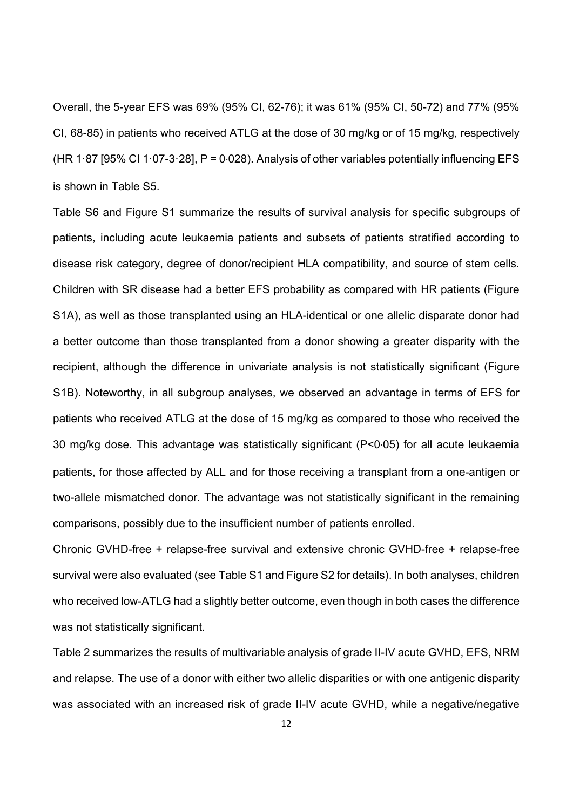Overall, the 5-year EFS was 69% (95% CI, 62-76); it was 61% (95% CI, 50-72) and 77% (95% CI, 68-85) in patients who received ATLG at the dose of 30 mg/kg or of 15 mg/kg, respectively (HR 1ꞏ87 [95% CI 1ꞏ07-3ꞏ28], P = 0∙028). Analysis of other variables potentially influencing EFS is shown in Table S5.

Table S6 and Figure S1 summarize the results of survival analysis for specific subgroups of patients, including acute leukaemia patients and subsets of patients stratified according to disease risk category, degree of donor/recipient HLA compatibility, and source of stem cells. Children with SR disease had a better EFS probability as compared with HR patients (Figure S1A), as well as those transplanted using an HLA-identical or one allelic disparate donor had a better outcome than those transplanted from a donor showing a greater disparity with the recipient, although the difference in univariate analysis is not statistically significant (Figure S1B). Noteworthy, in all subgroup analyses, we observed an advantage in terms of EFS for patients who received ATLG at the dose of 15 mg/kg as compared to those who received the 30 mg/kg dose. This advantage was statistically significant (P<0∙05) for all acute leukaemia patients, for those affected by ALL and for those receiving a transplant from a one-antigen or two-allele mismatched donor. The advantage was not statistically significant in the remaining comparisons, possibly due to the insufficient number of patients enrolled.

Chronic GVHD-free + relapse-free survival and extensive chronic GVHD-free + relapse-free survival were also evaluated (see Table S1 and Figure S2 for details). In both analyses, children who received low-ATLG had a slightly better outcome, even though in both cases the difference was not statistically significant.

Table 2 summarizes the results of multivariable analysis of grade II-IV acute GVHD, EFS, NRM and relapse. The use of a donor with either two allelic disparities or with one antigenic disparity was associated with an increased risk of grade II-IV acute GVHD, while a negative/negative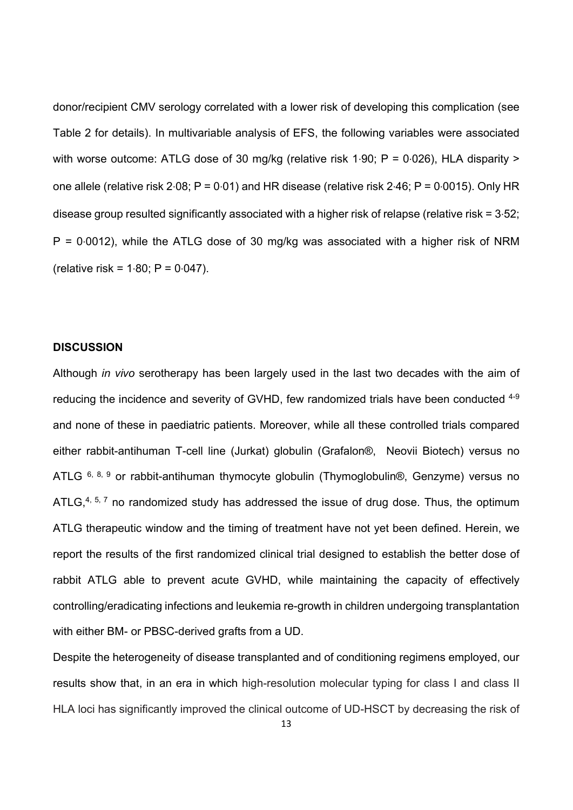donor/recipient CMV serology correlated with a lower risk of developing this complication (see Table 2 for details). In multivariable analysis of EFS, the following variables were associated with worse outcome: ATLG dose of 30 mg/kg (relative risk 1⋅90; P = 0⋅026), HLA disparity > one allele (relative risk 2∙08; P = 0∙01) and HR disease (relative risk 2∙46; P = 0∙0015). Only HR disease group resulted significantly associated with a higher risk of relapse (relative risk = 3∙52; P = 0∙0012), while the ATLG dose of 30 mg/kg was associated with a higher risk of NRM (relative risk = 1∙80; P = 0∙047).

### **DISCUSSION**

Although *in vivo* serotherapy has been largely used in the last two decades with the aim of reducing the incidence and severity of GVHD, few randomized trials have been conducted <sup>4-9</sup> and none of these in paediatric patients. Moreover, while all these controlled trials compared either rabbit-antihuman T-cell line (Jurkat) globulin (Grafalon®, Neovii Biotech) versus no ATLG  $6, 8, 9$  or rabbit-antihuman thymocyte globulin (Thymoglobulin®, Genzyme) versus no ATLG, $4, 5, 7$  no randomized study has addressed the issue of drug dose. Thus, the optimum ATLG therapeutic window and the timing of treatment have not yet been defined. Herein, we report the results of the first randomized clinical trial designed to establish the better dose of rabbit ATLG able to prevent acute GVHD, while maintaining the capacity of effectively controlling/eradicating infections and leukemia re-growth in children undergoing transplantation with either BM- or PBSC-derived grafts from a UD.

Despite the heterogeneity of disease transplanted and of conditioning regimens employed, our results show that, in an era in which high-resolution molecular typing for class I and class II HLA loci has significantly improved the clinical outcome of UD-HSCT by decreasing the risk of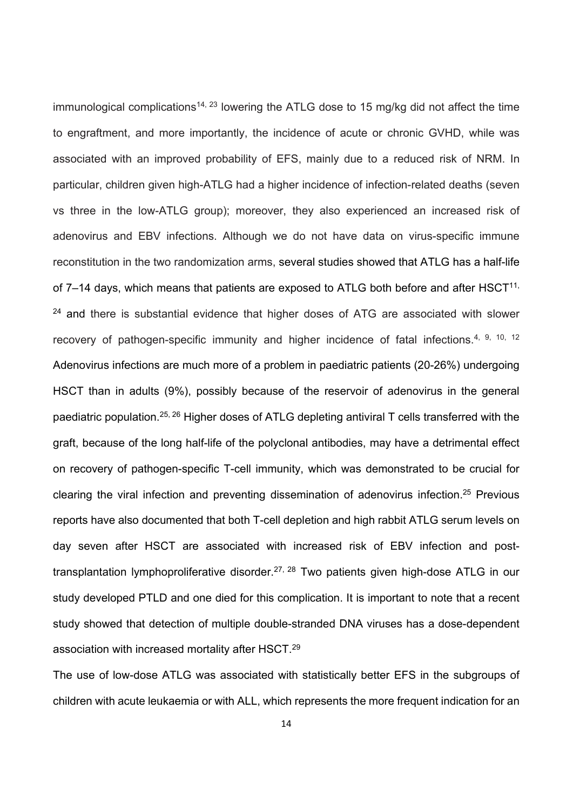immunological complications<sup>14, 23</sup> lowering the ATLG dose to 15 mg/kg did not affect the time to engraftment, and more importantly, the incidence of acute or chronic GVHD, while was associated with an improved probability of EFS, mainly due to a reduced risk of NRM. In particular, children given high-ATLG had a higher incidence of infection-related deaths (seven vs three in the low-ATLG group); moreover, they also experienced an increased risk of adenovirus and EBV infections. Although we do not have data on virus-specific immune reconstitution in the two randomization arms, several studies showed that ATLG has a half-life of  $7-14$  days, which means that patients are exposed to ATLG both before and after  $HSCT^{11}$ , <sup>24</sup> and there is substantial evidence that higher doses of ATG are associated with slower recovery of pathogen-specific immunity and higher incidence of fatal infections.<sup>4, 9, 10, 12</sup> Adenovirus infections are much more of a problem in paediatric patients (20-26%) undergoing HSCT than in adults (9%), possibly because of the reservoir of adenovirus in the general paediatric population.25, 26 Higher doses of ATLG depleting antiviral T cells transferred with the graft, because of the long half-life of the polyclonal antibodies, may have a detrimental effect on recovery of pathogen-specific T-cell immunity, which was demonstrated to be crucial for clearing the viral infection and preventing dissemination of adenovirus infection.25 Previous reports have also documented that both T-cell depletion and high rabbit ATLG serum levels on day seven after HSCT are associated with increased risk of EBV infection and posttransplantation lymphoproliferative disorder.<sup>27, 28</sup> Two patients given high-dose ATLG in our study developed PTLD and one died for this complication. It is important to note that a recent study showed that detection of multiple double-stranded DNA viruses has a dose-dependent association with increased mortality after HSCT.29

The use of low-dose ATLG was associated with statistically better EFS in the subgroups of children with acute leukaemia or with ALL, which represents the more frequent indication for an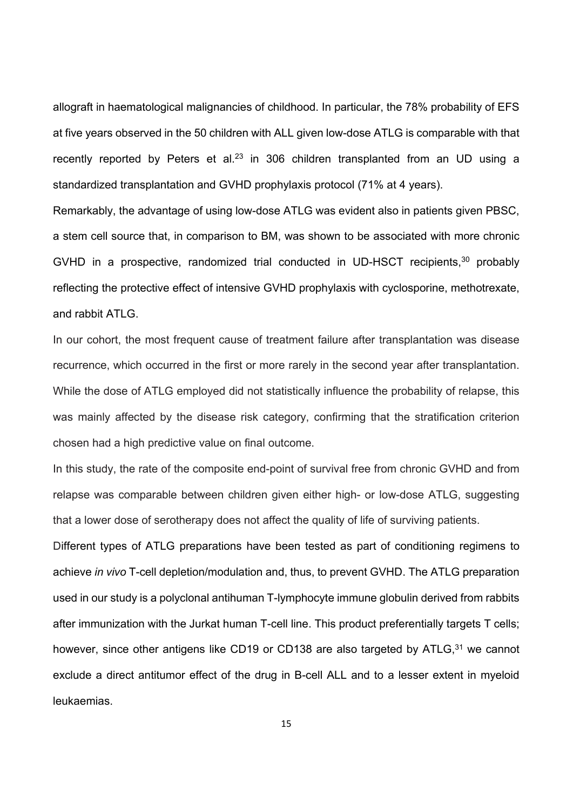allograft in haematological malignancies of childhood. In particular, the 78% probability of EFS at five years observed in the 50 children with ALL given low-dose ATLG is comparable with that recently reported by Peters et al.<sup>23</sup> in 306 children transplanted from an UD using a standardized transplantation and GVHD prophylaxis protocol (71% at 4 years).

Remarkably, the advantage of using low-dose ATLG was evident also in patients given PBSC, a stem cell source that, in comparison to BM, was shown to be associated with more chronic GVHD in a prospective, randomized trial conducted in UD-HSCT recipients,  $30$  probably reflecting the protective effect of intensive GVHD prophylaxis with cyclosporine, methotrexate, and rabbit ATLG.

In our cohort, the most frequent cause of treatment failure after transplantation was disease recurrence, which occurred in the first or more rarely in the second year after transplantation. While the dose of ATLG employed did not statistically influence the probability of relapse, this was mainly affected by the disease risk category, confirming that the stratification criterion chosen had a high predictive value on final outcome.

In this study, the rate of the composite end-point of survival free from chronic GVHD and from relapse was comparable between children given either high- or low-dose ATLG, suggesting that a lower dose of serotherapy does not affect the quality of life of surviving patients.

Different types of ATLG preparations have been tested as part of conditioning regimens to achieve *in vivo* T-cell depletion/modulation and, thus, to prevent GVHD. The ATLG preparation used in our study is a polyclonal antihuman T-lymphocyte immune globulin derived from rabbits after immunization with the Jurkat human T-cell line. This product preferentially targets T cells; however, since other antigens like CD19 or CD138 are also targeted by ATLG,<sup>31</sup> we cannot exclude a direct antitumor effect of the drug in B-cell ALL and to a lesser extent in myeloid leukaemias.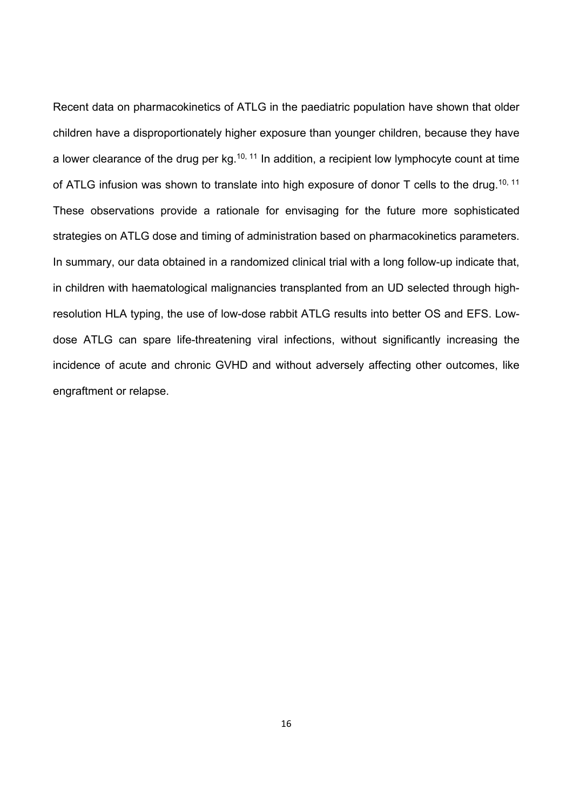Recent data on pharmacokinetics of ATLG in the paediatric population have shown that older children have a disproportionately higher exposure than younger children, because they have a lower clearance of the drug per  $kg<sub>10</sub>, 11$  In addition, a recipient low lymphocyte count at time of ATLG infusion was shown to translate into high exposure of donor T cells to the drug.<sup>10, 11</sup> These observations provide a rationale for envisaging for the future more sophisticated strategies on ATLG dose and timing of administration based on pharmacokinetics parameters. In summary, our data obtained in a randomized clinical trial with a long follow-up indicate that, in children with haematological malignancies transplanted from an UD selected through highresolution HLA typing, the use of low-dose rabbit ATLG results into better OS and EFS. Lowdose ATLG can spare life-threatening viral infections, without significantly increasing the incidence of acute and chronic GVHD and without adversely affecting other outcomes, like engraftment or relapse.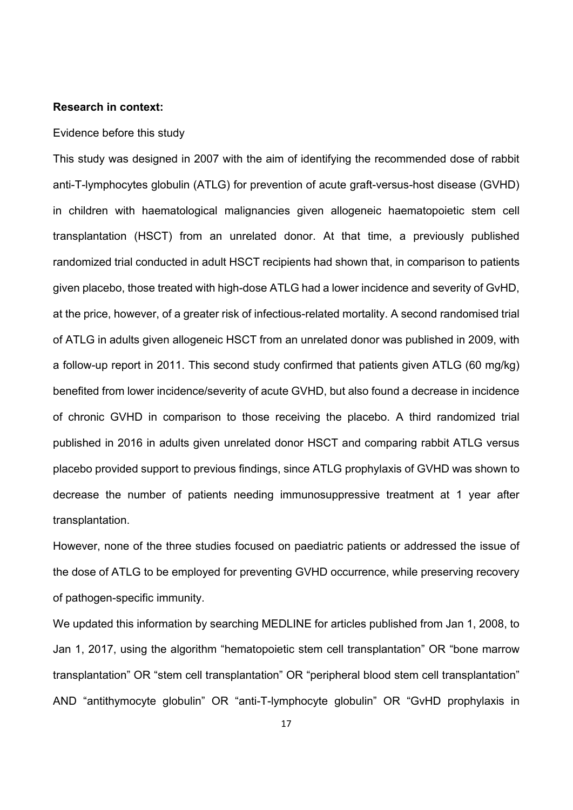### **Research in context:**

### Evidence before this study

This study was designed in 2007 with the aim of identifying the recommended dose of rabbit anti-T-lymphocytes globulin (ATLG) for prevention of acute graft-versus-host disease (GVHD) in children with haematological malignancies given allogeneic haematopoietic stem cell transplantation (HSCT) from an unrelated donor. At that time, a previously published randomized trial conducted in adult HSCT recipients had shown that, in comparison to patients given placebo, those treated with high-dose ATLG had a lower incidence and severity of GvHD, at the price, however, of a greater risk of infectious-related mortality. A second randomised trial of ATLG in adults given allogeneic HSCT from an unrelated donor was published in 2009, with a follow-up report in 2011. This second study confirmed that patients given ATLG (60 mg/kg) benefited from lower incidence/severity of acute GVHD, but also found a decrease in incidence of chronic GVHD in comparison to those receiving the placebo. A third randomized trial published in 2016 in adults given unrelated donor HSCT and comparing rabbit ATLG versus placebo provided support to previous findings, since ATLG prophylaxis of GVHD was shown to decrease the number of patients needing immunosuppressive treatment at 1 year after transplantation.

However, none of the three studies focused on paediatric patients or addressed the issue of the dose of ATLG to be employed for preventing GVHD occurrence, while preserving recovery of pathogen-specific immunity.

We updated this information by searching MEDLINE for articles published from Jan 1, 2008, to Jan 1, 2017, using the algorithm "hematopoietic stem cell transplantation" OR "bone marrow transplantation" OR "stem cell transplantation" OR "peripheral blood stem cell transplantation" AND "antithymocyte globulin" OR "anti-T-lymphocyte globulin" OR "GvHD prophylaxis in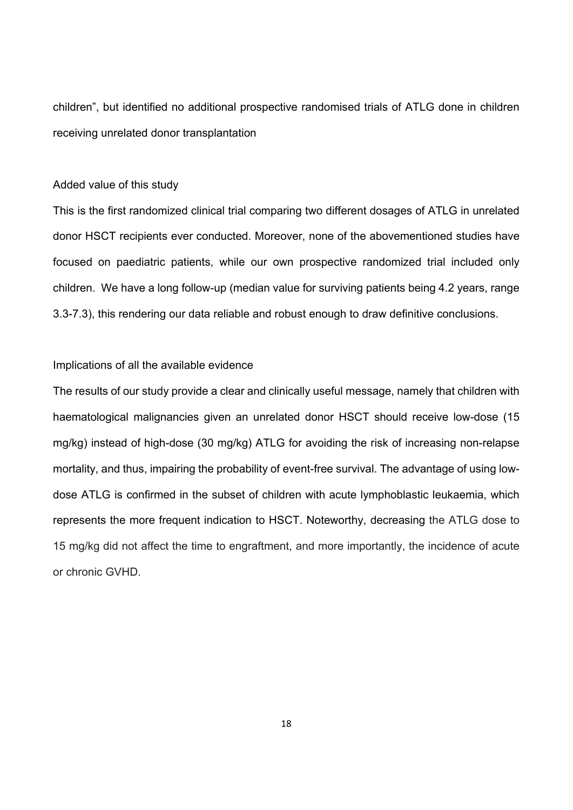children", but identified no additional prospective randomised trials of ATLG done in children receiving unrelated donor transplantation

### Added value of this study

This is the first randomized clinical trial comparing two different dosages of ATLG in unrelated donor HSCT recipients ever conducted. Moreover, none of the abovementioned studies have focused on paediatric patients, while our own prospective randomized trial included only children. We have a long follow-up (median value for surviving patients being 4.2 years, range 3.3-7.3), this rendering our data reliable and robust enough to draw definitive conclusions.

### Implications of all the available evidence

The results of our study provide a clear and clinically useful message, namely that children with haematological malignancies given an unrelated donor HSCT should receive low-dose (15 mg/kg) instead of high-dose (30 mg/kg) ATLG for avoiding the risk of increasing non-relapse mortality, and thus, impairing the probability of event-free survival. The advantage of using lowdose ATLG is confirmed in the subset of children with acute lymphoblastic leukaemia, which represents the more frequent indication to HSCT. Noteworthy, decreasing the ATLG dose to 15 mg/kg did not affect the time to engraftment, and more importantly, the incidence of acute or chronic GVHD.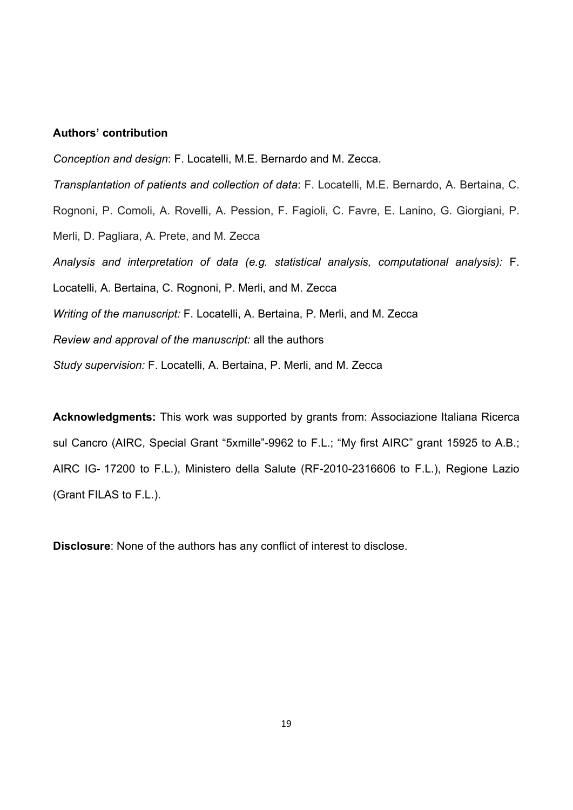### **Authors' contribution**

*Conception and design*: F. Locatelli, M.E. Bernardo and M. Zecca. *Transplantation of patients and collection of data*: F. Locatelli, M.E. Bernardo, A. Bertaina, C. Rognoni, P. Comoli, A. Rovelli, A. Pession, F. Fagioli, C. Favre, E. Lanino, G. Giorgiani, P. Merli, D. Pagliara, A. Prete, and M. Zecca *Analysis and interpretation of data (e.g. statistical analysis, computational analysis):* F. Locatelli, A. Bertaina, C. Rognoni, P. Merli, and M. Zecca *Writing of the manuscript:* F. Locatelli, A. Bertaina, P. Merli, and M. Zecca *Review and approval of the manuscript:* all the authors *Study supervision:* F. Locatelli, A. Bertaina, P. Merli, and M. Zecca

**Acknowledgments:** This work was supported by grants from: Associazione Italiana Ricerca sul Cancro (AIRC, Special Grant "5xmille"-9962 to F.L.; "My first AIRC" grant 15925 to A.B.; AIRC IG- 17200 to F.L.), Ministero della Salute (RF-2010-2316606 to F.L.), Regione Lazio (Grant FILAS to F.L.).

**Disclosure**: None of the authors has any conflict of interest to disclose.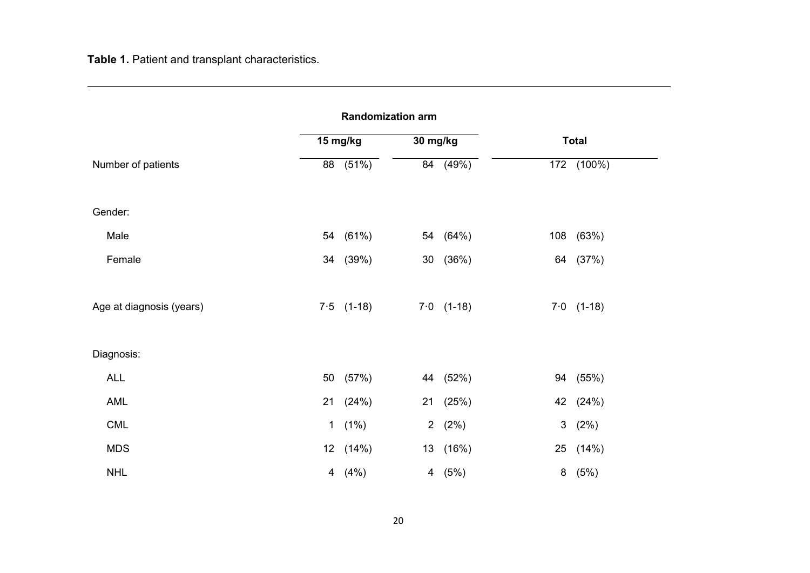**Table 1.** Patient and transplant characteristics.

| <b>Randomization arm</b> |                |              |                |              |                |              |  |
|--------------------------|----------------|--------------|----------------|--------------|----------------|--------------|--|
|                          |                | 15 mg/kg     | 30 mg/kg       |              |                | <b>Total</b> |  |
| Number of patients       |                | 88 (51%)     | 84             | (49%)        |                | 172 (100%)   |  |
|                          |                |              |                |              |                |              |  |
| Gender:                  |                |              |                |              |                |              |  |
| Male                     |                | 54 (61%)     |                | 54 (64%)     |                | 108 (63%)    |  |
| Female                   |                | 34 (39%)     | 30             | (36%)        |                | 64 (37%)     |  |
|                          |                |              |                |              |                |              |  |
| Age at diagnosis (years) |                | $7.5$ (1-18) |                | $7.0$ (1-18) |                | $7.0$ (1-18) |  |
|                          |                |              |                |              |                |              |  |
| Diagnosis:               |                |              |                |              |                |              |  |
| <b>ALL</b>               |                | 50 (57%)     |                | 44 (52%)     |                | 94 (55%)     |  |
| AML                      |                | 21 (24%)     | 21             | (25%)        |                | 42 (24%)     |  |
| CML                      | $\mathbf 1$    | (1%)         | 2 <sup>7</sup> | (2%)         | 3 <sup>7</sup> | (2%)         |  |
| <b>MDS</b>               |                | 12 (14%)     |                | 13 (16%)     |                | 25 (14%)     |  |
| <b>NHL</b>               | $\overline{4}$ | (4%)         |                | 4(5%)        |                | 8(5%)        |  |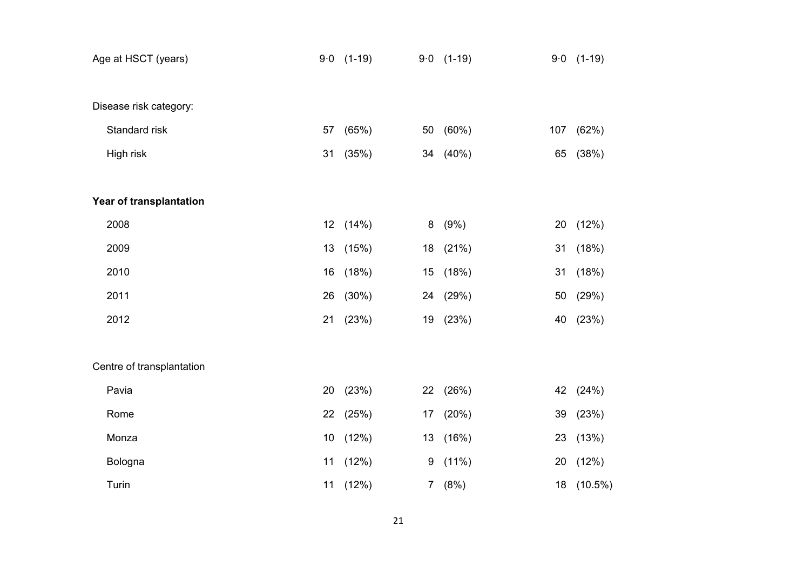| Age at HSCT (years)       |    | $9.0$ (1-19) |                | $9.0$ (1-19) |     | $9.0$ (1-19) |
|---------------------------|----|--------------|----------------|--------------|-----|--------------|
|                           |    |              |                |              |     |              |
| Disease risk category:    |    |              |                |              |     |              |
| Standard risk             | 57 | (65%)        | 50             | (60%)        | 107 | (62%)        |
| High risk                 | 31 | (35%)        | 34             | (40%)        | 65  | (38%)        |
|                           |    |              |                |              |     |              |
| Year of transplantation   |    |              |                |              |     |              |
| 2008                      |    | 12 (14%)     | 8              | (9%)         | 20  | (12%)        |
| 2009                      | 13 | (15%)        | 18             | (21%)        | 31  | (18%)        |
| 2010                      | 16 | (18%)        | 15             | (18%)        | 31  | (18%)        |
| 2011                      | 26 | (30%)        | 24             | (29%)        | 50  | (29%)        |
| 2012                      | 21 | (23%)        | 19             | (23%)        | 40  | (23%)        |
|                           |    |              |                |              |     |              |
| Centre of transplantation |    |              |                |              |     |              |
| Pavia                     | 20 | (23%)        | 22             | (26%)        | 42  | (24%)        |
| Rome                      | 22 | (25%)        | 17             | (20%)        | 39  | (23%)        |
| Monza                     | 10 | (12%)        | 13             | (16%)        | 23  | (13%)        |
| Bologna                   | 11 | (12%)        | 9              | $(11\%)$     | 20  | (12%)        |
| Turin                     | 11 | (12%)        | 7 <sup>7</sup> | (8%)         | 18  | $(10.5\%)$   |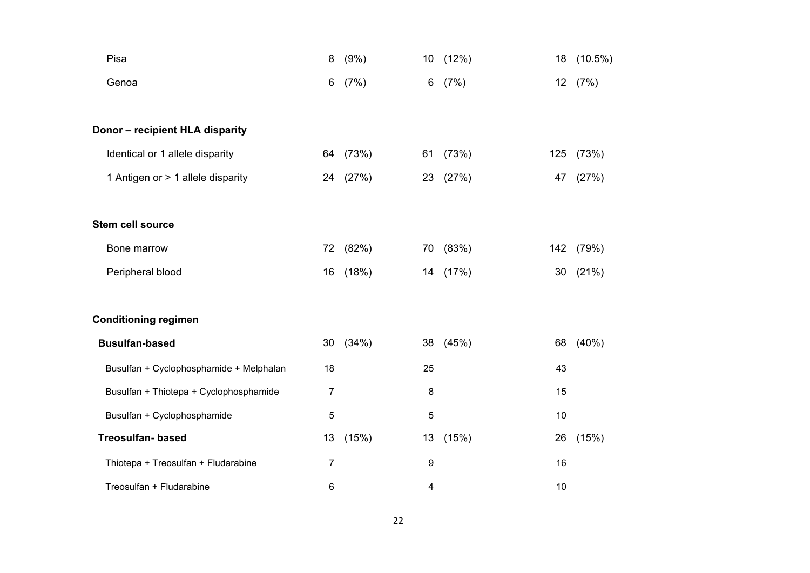| Pisa                                    | 8              | (9%)     | 10 <sub>1</sub> | (12%)    | 18  | $(10.5\%)$ |
|-----------------------------------------|----------------|----------|-----------------|----------|-----|------------|
| Genoa                                   | 6              | (7%)     | 6               | (7%)     |     | 12 (7%)    |
| Donor - recipient HLA disparity         |                |          |                 |          |     |            |
| Identical or 1 allele disparity         |                | 64 (73%) | 61              | (73%)    | 125 | (73%)      |
| 1 Antigen or > 1 allele disparity       | 24             | (27%)    | 23              | (27%)    | 47  | (27%)      |
| <b>Stem cell source</b>                 |                |          |                 |          |     |            |
| Bone marrow                             |                | 72 (82%) |                 | 70 (83%) | 142 | (79%)      |
| Peripheral blood                        | 16             | (18%)    | 14              | (17%)    | 30  | (21%)      |
| <b>Conditioning regimen</b>             |                |          |                 |          |     |            |
| <b>Busulfan-based</b>                   | 30             | (34%)    |                 | 38 (45%) | 68  | (40%       |
| Busulfan + Cyclophosphamide + Melphalan | 18             |          | 25              |          | 43  |            |
| Busulfan + Thiotepa + Cyclophosphamide  | $\overline{7}$ |          | 8               |          | 15  |            |
| Busulfan + Cyclophosphamide             | $\overline{5}$ |          | 5               |          | 10  |            |
| <b>Treosulfan-based</b>                 | 13             | (15%)    | 13              | (15%)    | 26  | (15%)      |
| Thiotepa + Treosulfan + Fludarabine     | 7              |          | 9               |          | 16  |            |
| Treosulfan + Fludarabine                | 6              |          | 4               |          | 10  |            |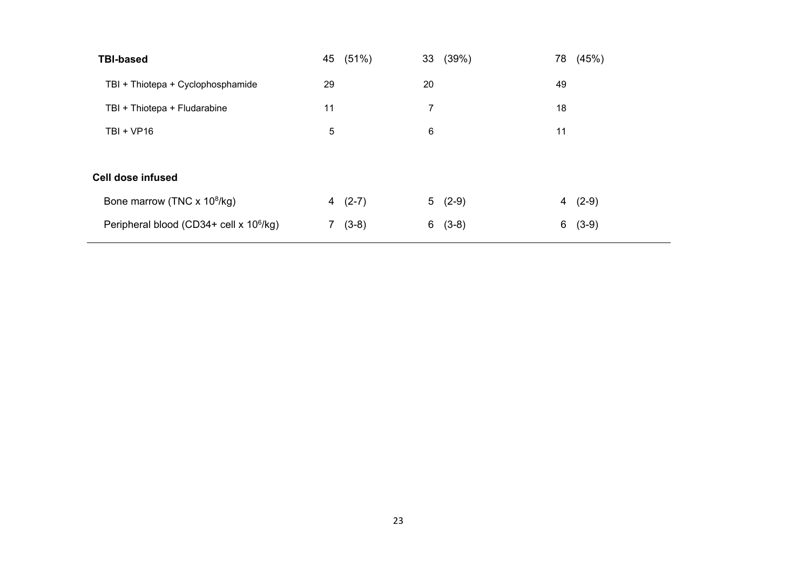| <b>TBI-based</b>                                    | 45 (51%)     | 33 (39%)     | 78 (45%)     |
|-----------------------------------------------------|--------------|--------------|--------------|
| TBI + Thiotepa + Cyclophosphamide                   | 29           | 20           | 49           |
| TBI + Thiotepa + Fludarabine                        | 11           | 7            | 18           |
| $TBI + VP16$                                        | 5            | 6            | 11           |
|                                                     |              |              |              |
| <b>Cell dose infused</b>                            |              |              |              |
| Bone marrow (TNC x 10 <sup>8</sup> /kg)             | $(2-7)$<br>4 | $5(2-9)$     | $(2-9)$<br>4 |
| Peripheral blood (CD34+ cell x 10 <sup>6</sup> /kg) | $(3-8)$      | 6<br>$(3-8)$ | $(3-9)$<br>6 |
|                                                     |              |              |              |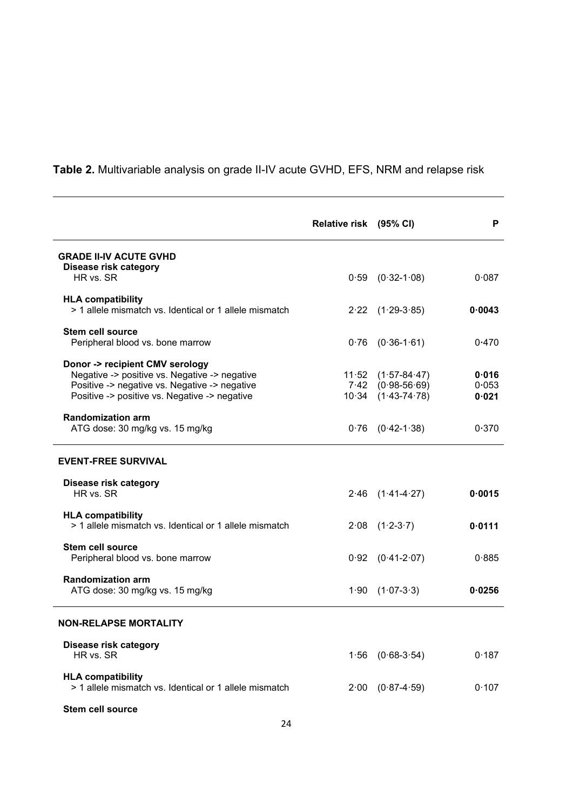**Table 2.** Multivariable analysis on grade II-IV acute GVHD, EFS, NRM and relapse risk

|                                                                                    | Relative risk (95% CI) |                        | P      |
|------------------------------------------------------------------------------------|------------------------|------------------------|--------|
| <b>GRADE II-IV ACUTE GVHD</b><br>Disease risk category                             |                        |                        |        |
| HR vs. SR                                                                          |                        | $0.59$ $(0.32-1.08)$   | 0.087  |
| <b>HLA compatibility</b><br>> 1 allele mismatch vs. Identical or 1 allele mismatch |                        | $2.22$ $(1.29-3.85)$   | 0.0043 |
| <b>Stem cell source</b><br>Peripheral blood vs. bone marrow                        | 0.76                   | $(0.36 - 1.61)$        | 0.470  |
| Donor -> recipient CMV serology<br>Negative -> positive vs. Negative -> negative   |                        | $11.52$ $(1.57-84.47)$ | 0.016  |
| Positive -> negative vs. Negative -> negative                                      |                        | $7.42$ $(0.98-56.69)$  | 0.053  |
| Positive -> positive vs. Negative -> negative                                      |                        | $10.34$ $(1.43-74.78)$ | 0.021  |
| <b>Randomization arm</b><br>ATG dose: 30 mg/kg vs. 15 mg/kg                        |                        | $0.76$ $(0.42-1.38)$   | 0.370  |
| <b>EVENT-FREE SURVIVAL</b>                                                         |                        |                        |        |
| Disease risk category<br>HR vs. SR                                                 |                        | $2.46$ $(1.41-4.27)$   | 0.0015 |
| <b>HLA compatibility</b><br>> 1 allele mismatch vs. Identical or 1 allele mismatch |                        | $2.08$ $(1.2-3.7)$     | 0.0111 |
| Stem cell source<br>Peripheral blood vs. bone marrow                               |                        | $0.92$ $(0.41-2.07)$   | 0.885  |
| <b>Randomization arm</b><br>ATG dose: 30 mg/kg vs. 15 mg/kg                        |                        | $1.90$ $(1.07-3.3)$    | 0.0256 |
| <b>NON-RELAPSE MORTALITY</b>                                                       |                        |                        |        |
| Disease risk category<br>HR vs. SR                                                 | 1.56                   | $(0.68 - 3.54)$        | 0.187  |
| <b>HLA compatibility</b><br>> 1 allele mismatch vs. Identical or 1 allele mismatch |                        | $2.00$ $(0.87-4.59)$   | 0.107  |

 **Stem cell source**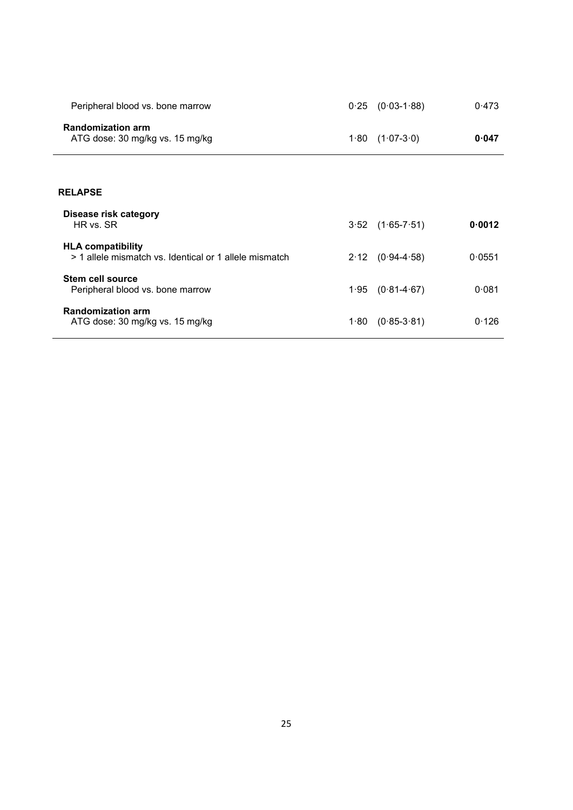| Peripheral blood vs. bone marrow                                                   | 0.25 | $(0.03 - 1.88)$      | 0.473  |
|------------------------------------------------------------------------------------|------|----------------------|--------|
| <b>Randomization arm</b><br>ATG dose: 30 mg/kg vs. 15 mg/kg                        | 1.80 | $(1.07 - 3.0)$       | 0.047  |
| <b>RELAPSE</b>                                                                     |      |                      |        |
| Disease risk category<br>HR vs. SR                                                 |      | $3.52$ $(1.65-7.51)$ | 0.0012 |
| <b>HLA compatibility</b><br>> 1 allele mismatch vs. Identical or 1 allele mismatch | 2.12 | $(0.94 - 4.58)$      | 0.0551 |
| Stem cell source<br>Peripheral blood vs. bone marrow                               |      | $1.95$ $(0.81-4.67)$ | 0.081  |
| <b>Randomization arm</b><br>ATG dose: 30 mg/kg vs. 15 mg/kg                        | 1.80 | $(0.85 - 3.81)$      | 0.126  |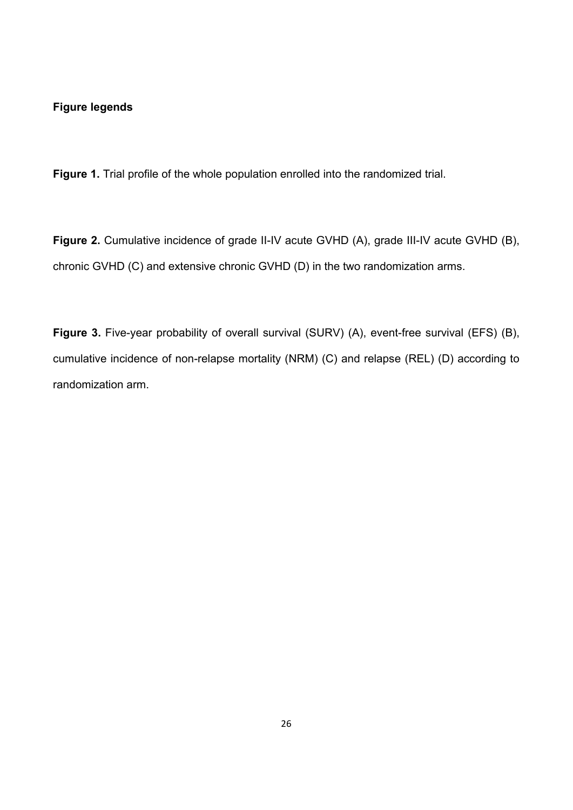## **Figure legends**

**Figure 1.** Trial profile of the whole population enrolled into the randomized trial.

**Figure 2.** Cumulative incidence of grade II-IV acute GVHD (A), grade III-IV acute GVHD (B), chronic GVHD (C) and extensive chronic GVHD (D) in the two randomization arms.

**Figure 3.** Five-year probability of overall survival (SURV) (A), event-free survival (EFS) (B), cumulative incidence of non-relapse mortality (NRM) (C) and relapse (REL) (D) according to randomization arm.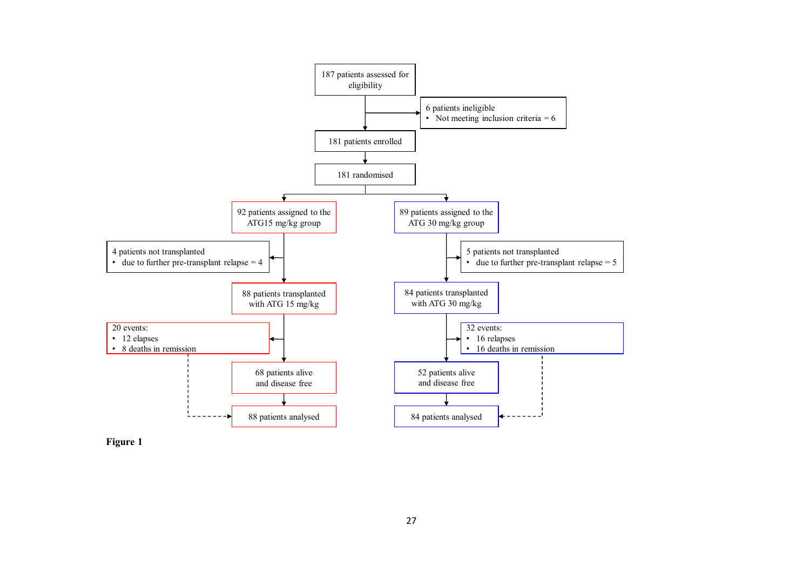

**Figure 1**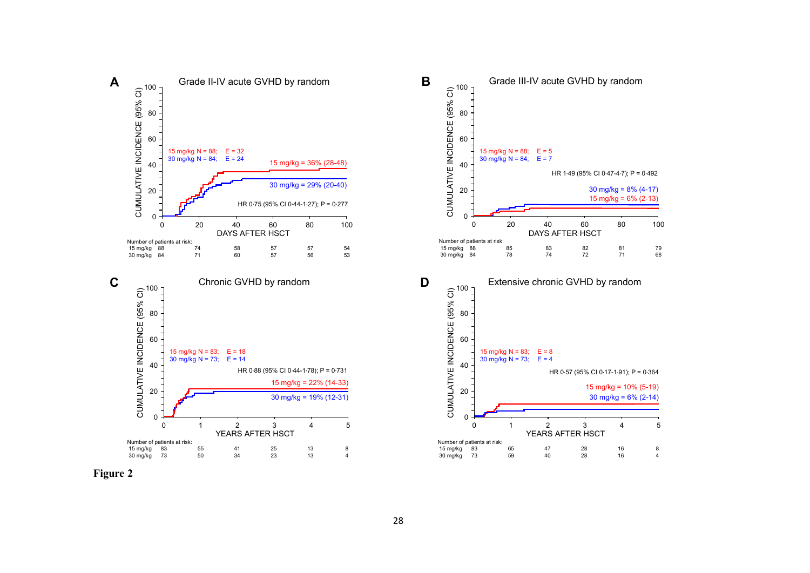



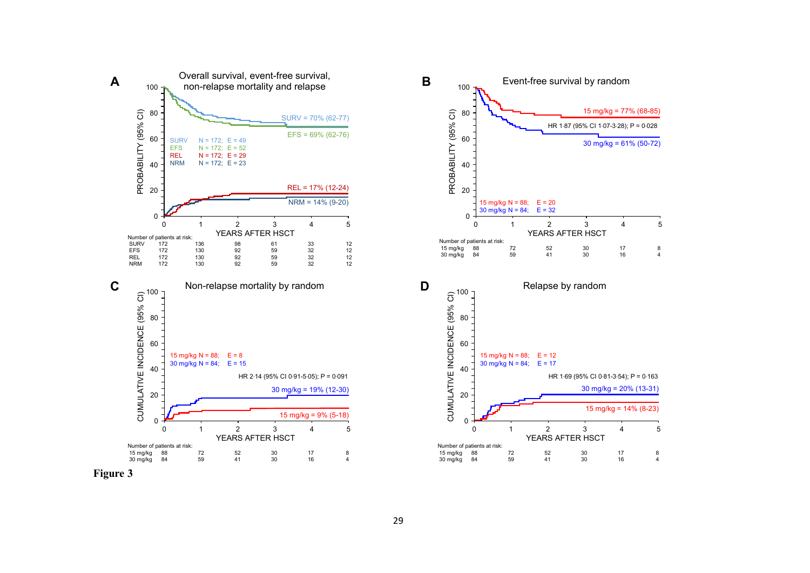



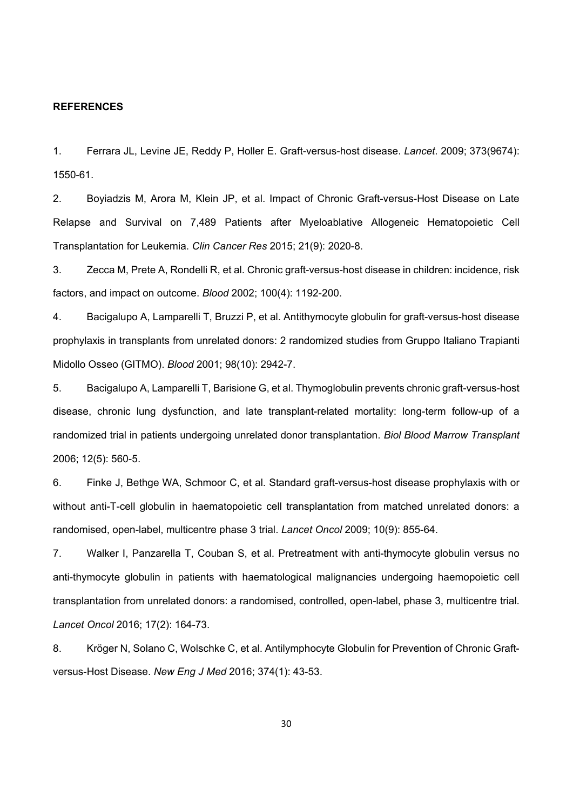#### **REFERENCES**

1. Ferrara JL, Levine JE, Reddy P, Holler E. Graft-versus-host disease. *Lancet*. 2009; 373(9674): 1550-61.

2. Boyiadzis M, Arora M, Klein JP, et al. Impact of Chronic Graft-versus-Host Disease on Late Relapse and Survival on 7,489 Patients after Myeloablative Allogeneic Hematopoietic Cell Transplantation for Leukemia. *Clin Cancer Res* 2015; 21(9): 2020-8.

3. Zecca M, Prete A, Rondelli R, et al. Chronic graft-versus-host disease in children: incidence, risk factors, and impact on outcome. *Blood* 2002; 100(4): 1192-200.

4. Bacigalupo A, Lamparelli T, Bruzzi P, et al. Antithymocyte globulin for graft-versus-host disease prophylaxis in transplants from unrelated donors: 2 randomized studies from Gruppo Italiano Trapianti Midollo Osseo (GITMO). *Blood* 2001; 98(10): 2942-7.

5. Bacigalupo A, Lamparelli T, Barisione G, et al. Thymoglobulin prevents chronic graft-versus-host disease, chronic lung dysfunction, and late transplant-related mortality: long-term follow-up of a randomized trial in patients undergoing unrelated donor transplantation. *Biol Blood Marrow Transplant* 2006; 12(5): 560-5.

6. Finke J, Bethge WA, Schmoor C, et al. Standard graft-versus-host disease prophylaxis with or without anti-T-cell globulin in haematopoietic cell transplantation from matched unrelated donors: a randomised, open-label, multicentre phase 3 trial. *Lancet Oncol* 2009; 10(9): 855-64.

7. Walker I, Panzarella T, Couban S, et al. Pretreatment with anti-thymocyte globulin versus no anti-thymocyte globulin in patients with haematological malignancies undergoing haemopoietic cell transplantation from unrelated donors: a randomised, controlled, open-label, phase 3, multicentre trial. *Lancet Oncol* 2016; 17(2): 164-73.

8. Kröger N, Solano C, Wolschke C, et al. Antilymphocyte Globulin for Prevention of Chronic Graftversus-Host Disease. *New Eng J Med* 2016; 374(1): 43-53.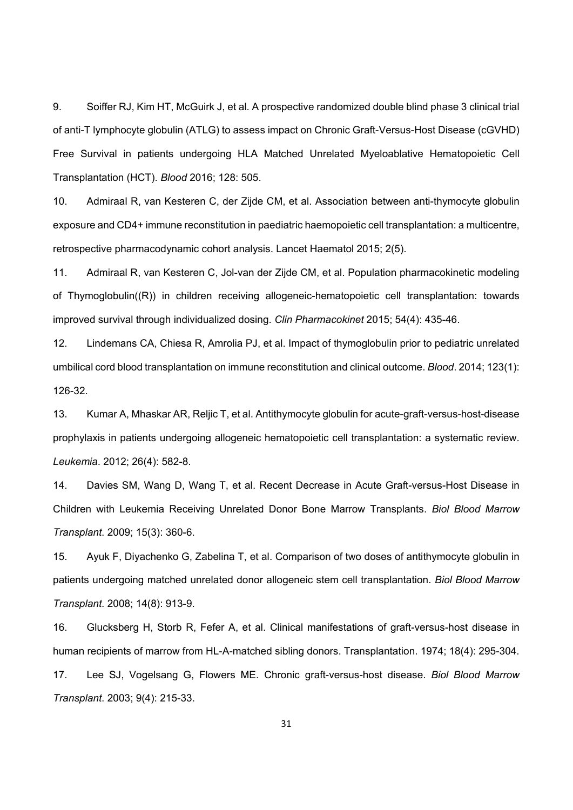9. Soiffer RJ, Kim HT, McGuirk J, et al. A prospective randomized double blind phase 3 clinical trial of anti-T lymphocyte globulin (ATLG) to assess impact on Chronic Graft-Versus-Host Disease (cGVHD) Free Survival in patients undergoing HLA Matched Unrelated Myeloablative Hematopoietic Cell Transplantation (HCT). *Blood* 2016; 128: 505.

10. Admiraal R, van Kesteren C, der Zijde CM, et al. Association between anti-thymocyte globulin exposure and CD4+ immune reconstitution in paediatric haemopoietic cell transplantation: a multicentre, retrospective pharmacodynamic cohort analysis. Lancet Haematol 2015; 2(5).

11. Admiraal R, van Kesteren C, Jol-van der Zijde CM, et al. Population pharmacokinetic modeling of Thymoglobulin((R)) in children receiving allogeneic-hematopoietic cell transplantation: towards improved survival through individualized dosing. *Clin Pharmacokinet* 2015; 54(4): 435-46.

12. Lindemans CA, Chiesa R, Amrolia PJ, et al. Impact of thymoglobulin prior to pediatric unrelated umbilical cord blood transplantation on immune reconstitution and clinical outcome. *Blood*. 2014; 123(1): 126-32.

13. Kumar A, Mhaskar AR, Reljic T, et al. Antithymocyte globulin for acute-graft-versus-host-disease prophylaxis in patients undergoing allogeneic hematopoietic cell transplantation: a systematic review. *Leukemia*. 2012; 26(4): 582-8.

14. Davies SM, Wang D, Wang T, et al. Recent Decrease in Acute Graft-versus-Host Disease in Children with Leukemia Receiving Unrelated Donor Bone Marrow Transplants. *Biol Blood Marrow Transplant*. 2009; 15(3): 360-6.

15. Ayuk F, Diyachenko G, Zabelina T, et al. Comparison of two doses of antithymocyte globulin in patients undergoing matched unrelated donor allogeneic stem cell transplantation. *Biol Blood Marrow Transplant*. 2008; 14(8): 913-9.

16. Glucksberg H, Storb R, Fefer A, et al. Clinical manifestations of graft-versus-host disease in human recipients of marrow from HL-A-matched sibling donors. Transplantation. 1974; 18(4): 295-304.

17. Lee SJ, Vogelsang G, Flowers ME. Chronic graft-versus-host disease. *Biol Blood Marrow Transplant*. 2003; 9(4): 215-33.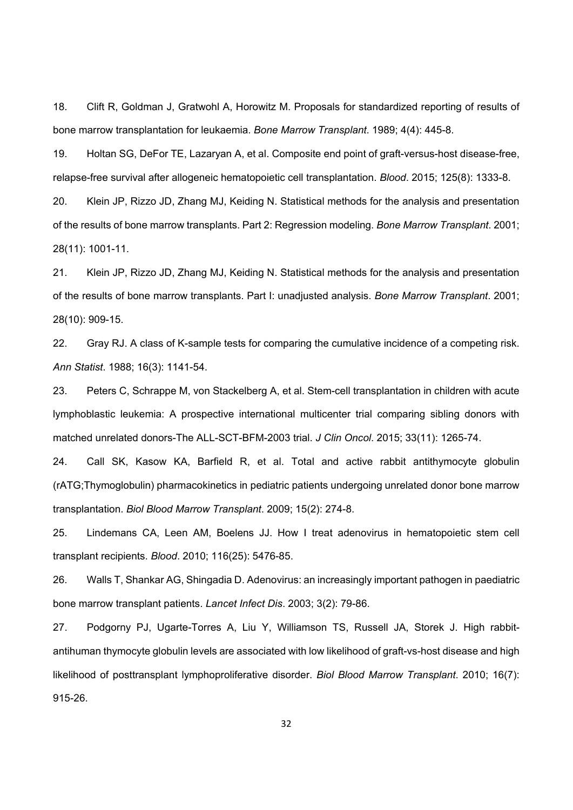18. Clift R, Goldman J, Gratwohl A, Horowitz M. Proposals for standardized reporting of results of bone marrow transplantation for leukaemia. *Bone Marrow Transplant*. 1989; 4(4): 445-8.

19. Holtan SG, DeFor TE, Lazaryan A, et al. Composite end point of graft-versus-host disease-free, relapse-free survival after allogeneic hematopoietic cell transplantation. *Blood*. 2015; 125(8): 1333-8.

20. Klein JP, Rizzo JD, Zhang MJ, Keiding N. Statistical methods for the analysis and presentation of the results of bone marrow transplants. Part 2: Regression modeling. *Bone Marrow Transplant*. 2001; 28(11): 1001-11.

21. Klein JP, Rizzo JD, Zhang MJ, Keiding N. Statistical methods for the analysis and presentation of the results of bone marrow transplants. Part I: unadjusted analysis. *Bone Marrow Transplant*. 2001; 28(10): 909-15.

22. Gray RJ. A class of K-sample tests for comparing the cumulative incidence of a competing risk. *Ann Statist*. 1988; 16(3): 1141-54.

23. Peters C, Schrappe M, von Stackelberg A, et al. Stem-cell transplantation in children with acute lymphoblastic leukemia: A prospective international multicenter trial comparing sibling donors with matched unrelated donors-The ALL-SCT-BFM-2003 trial. *J Clin Oncol*. 2015; 33(11): 1265-74.

24. Call SK, Kasow KA, Barfield R, et al. Total and active rabbit antithymocyte globulin (rATG;Thymoglobulin) pharmacokinetics in pediatric patients undergoing unrelated donor bone marrow transplantation. *Biol Blood Marrow Transplant*. 2009; 15(2): 274-8.

25. Lindemans CA, Leen AM, Boelens JJ. How I treat adenovirus in hematopoietic stem cell transplant recipients. *Blood*. 2010; 116(25): 5476-85.

26. Walls T, Shankar AG, Shingadia D. Adenovirus: an increasingly important pathogen in paediatric bone marrow transplant patients. *Lancet Infect Dis*. 2003; 3(2): 79-86.

27. Podgorny PJ, Ugarte-Torres A, Liu Y, Williamson TS, Russell JA, Storek J. High rabbitantihuman thymocyte globulin levels are associated with low likelihood of graft-vs-host disease and high likelihood of posttransplant lymphoproliferative disorder. *Biol Blood Marrow Transplant*. 2010; 16(7): 915-26.